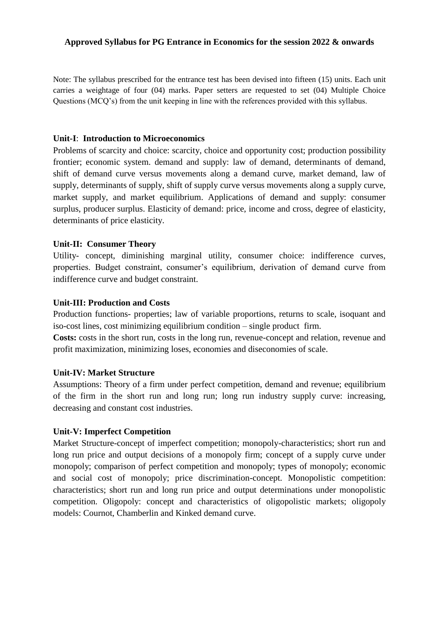#### **Approved Syllabus for PG Entrance in Economics for the session 2022 & onwards**

Note: The syllabus prescribed for the entrance test has been devised into fifteen (15) units. Each unit carries a weightage of four (04) marks. Paper setters are requested to set (04) Multiple Choice Questions (MCQ's) from the unit keeping in line with the references provided with this syllabus.

#### **Unit-I**: **Introduction to Microeconomics**

 Problems of scarcity and choice: scarcity, choice and opportunity cost; production possibility frontier; economic system. demand and supply: law of demand, determinants of demand, shift of demand curve versus movements along a demand curve, market demand, law of supply, determinants of supply, shift of supply curve versus movements along a supply curve, market supply, and market equilibrium. Applications of demand and supply: consumer surplus, producer surplus. Elasticity of demand: price, income and cross, degree of elasticity, determinants of price elasticity.

## **Unit-II: Consumer Theory**

Utility- concept, diminishing marginal utility, consumer choice: indifference curves, properties. Budget constraint, consumer's equilibrium, derivation of demand curve from indifference curve and budget constraint.

#### **Unit-III: Production and Costs**

Production functions- properties; law of variable proportions, returns to scale, isoquant and iso-cost lines, cost minimizing equilibrium condition – single product firm.

**Costs:** costs in the short run, costs in the long run, revenue-concept and relation, revenue and profit maximization, minimizing loses, economies and diseconomies of scale.

#### **Unit-IV: Market Structure**

Assumptions: Theory of a firm under perfect competition, demand and revenue; equilibrium of the firm in the short run and long run; long run industry supply curve: increasing, decreasing and constant cost industries.

## **Unit-V: Imperfect Competition**

Market Structure-concept of imperfect competition; monopoly-characteristics; short run and long run price and output decisions of a monopoly firm; concept of a supply curve under monopoly; comparison of perfect competition and monopoly; types of monopoly; economic and social cost of monopoly; price discrimination-concept. Monopolistic competition: characteristics; short run and long run price and output determinations under monopolistic competition. Oligopoly: concept and characteristics of oligopolistic markets; oligopoly models: Cournot, Chamberlin and Kinked demand curve.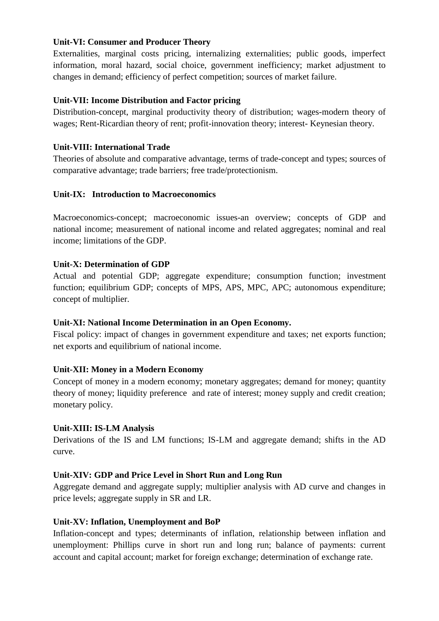## **Unit-VI: Consumer and Producer Theory**

Externalities, marginal costs pricing, internalizing externalities; public goods, imperfect information, moral hazard, social choice, government inefficiency; market adjustment to changes in demand; efficiency of perfect competition; sources of market failure.

# **Unit-VII: Income Distribution and Factor pricing**

Distribution-concept, marginal productivity theory of distribution; wages-modern theory of wages; Rent-Ricardian theory of rent; profit-innovation theory; interest- Keynesian theory.

# **Unit-VIII: International Trade**

Theories of absolute and comparative advantage, terms of trade-concept and types; sources of comparative advantage; trade barriers; free trade/protectionism.

## **Unit-IX: Introduction to Macroeconomics**

Macroeconomics-concept; macroeconomic issues-an overview; concepts of GDP and national income; measurement of national income and related aggregates; nominal and real income; limitations of the GDP.

## **Unit-X: Determination of GDP**

Actual and potential GDP; aggregate expenditure; consumption function; investment function; equilibrium GDP; concepts of MPS, APS, MPC, APC; autonomous expenditure; concept of multiplier.

## **Unit-XI: National Income Determination in an Open Economy.**

Fiscal policy: impact of changes in government expenditure and taxes; net exports function; net exports and equilibrium of national income.

## **Unit-XII: Money in a Modern Economy**

Concept of money in a modern economy; monetary aggregates; demand for money; quantity theory of money; liquidity preference and rate of interest; money supply and credit creation; monetary policy.

## **Unit-XIII: IS-LM Analysis**

Derivations of the IS and LM functions; IS-LM and aggregate demand; shifts in the AD curve.

## **Unit-XIV: GDP and Price Level in Short Run and Long Run**

Aggregate demand and aggregate supply; multiplier analysis with AD curve and changes in price levels; aggregate supply in SR and LR.

## **Unit-XV: Inflation, Unemployment and BoP**

Inflation-concept and types; determinants of inflation, relationship between inflation and unemployment: Phillips curve in short run and long run; balance of payments: current account and capital account; market for foreign exchange; determination of exchange rate.